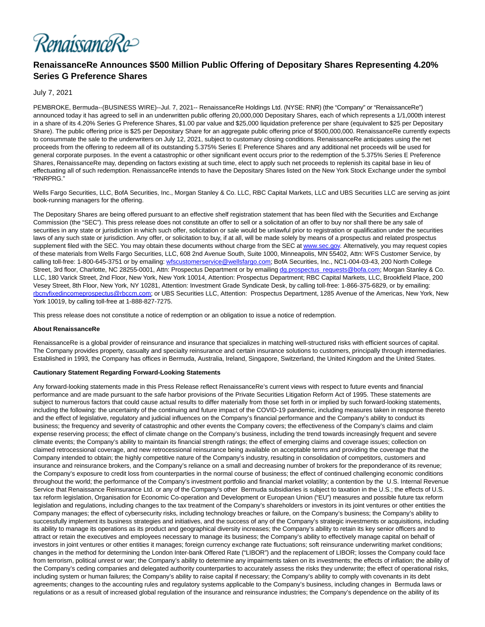RenaissanceRe>

## **RenaissanceRe Announces \$500 Million Public Offering of Depositary Shares Representing 4.20% Series G Preference Shares**

## July 7, 2021

PEMBROKE, Bermuda--(BUSINESS WIRE)--Jul. 7, 2021-- RenaissanceRe Holdings Ltd. (NYSE: RNR) (the "Company" or "RenaissanceRe") announced today it has agreed to sell in an underwritten public offering 20,000,000 Depositary Shares, each of which represents a 1/1,000th interest in a share of its 4.20% Series G Preference Shares, \$1.00 par value and \$25,000 liquidation preference per share (equivalent to \$25 per Depositary Share). The public offering price is \$25 per Depositary Share for an aggregate public offering price of \$500,000,000. RenaissanceRe currently expects to consummate the sale to the underwriters on July 12, 2021, subject to customary closing conditions. RenaissanceRe anticipates using the net proceeds from the offering to redeem all of its outstanding 5.375% Series E Preference Shares and any additional net proceeds will be used for general corporate purposes. In the event a catastrophic or other significant event occurs prior to the redemption of the 5.375% Series E Preference Shares, RenaissanceRe may, depending on factors existing at such time, elect to apply such net proceeds to replenish its capital base in lieu of effectuating all of such redemption. RenaissanceRe intends to have the Depositary Shares listed on the New York Stock Exchange under the symbol "RNRPRG."

Wells Fargo Securities, LLC, BofA Securities, Inc., Morgan Stanley & Co. LLC, RBC Capital Markets, LLC and UBS Securities LLC are serving as joint book-running managers for the offering.

The Depositary Shares are being offered pursuant to an effective shelf registration statement that has been filed with the Securities and Exchange Commission (the "SEC"). This press release does not constitute an offer to sell or a solicitation of an offer to buy nor shall there be any sale of securities in any state or jurisdiction in which such offer, solicitation or sale would be unlawful prior to registration or qualification under the securities laws of any such state or jurisdiction. Any offer, or solicitation to buy, if at all, will be made solely by means of a prospectus and related prospectus supplement filed with the SEC. You may obtain these documents without charge from the SEC a[t www.sec.gov.](https://cts.businesswire.com/ct/CT?id=smartlink&url=http%3A%2F%2Fwww.sec.gov&esheet=52456666&newsitemid=20210707005943&lan=en-US&anchor=www.sec.gov&index=1&md5=5e98fe930a29f684da7543bad59a6cd9) Alternatively, you may request copies of these materials from Wells Fargo Securities, LLC, 608 2nd Avenue South, Suite 1000, Minneapolis, MN 55402, Attn: WFS Customer Service, by calling toll-free: 1-800-645-3751 or by emailing[: wfscustomerservice@wellsfargo.com;](mailto:wfscustomerservice@wellsfargo.com) BofA Securities, Inc., NC1-004-03-43, 200 North College Street, 3rd floor, Charlotte, NC 28255-0001, Attn: Prospectus Department or by emailing dg.prospectus requests@bofa.com; Morgan Stanley & Co. LLC, 180 Varick Street, 2nd Floor, New York, New York 10014, Attention: Prospectus Department; RBC Capital Markets, LLC, Brookfield Place, 200 Vesey Street, 8th Floor, New York, NY 10281, Attention: Investment Grade Syndicate Desk, by calling toll-free: 1-866-375-6829, or by emailing: [rbcnyfixedincomeprospectus@rbccm.com;](mailto:rbcnyfixedincomeprospectus@rbccm.com) or UBS Securities LLC, Attention: Prospectus Department, 1285 Avenue of the Americas, New York, New York 10019, by calling toll-free at 1-888-827-7275.

This press release does not constitute a notice of redemption or an obligation to issue a notice of redemption.

## **About RenaissanceRe**

RenaissanceRe is a global provider of reinsurance and insurance that specializes in matching well-structured risks with efficient sources of capital. The Company provides property, casualty and specialty reinsurance and certain insurance solutions to customers, principally through intermediaries. Established in 1993, the Company has offices in Bermuda, Australia, Ireland, Singapore, Switzerland, the United Kingdom and the United States.

## **Cautionary Statement Regarding Forward-Looking Statements**

Any forward-looking statements made in this Press Release reflect RenaissanceRe's current views with respect to future events and financial performance and are made pursuant to the safe harbor provisions of the Private Securities Litigation Reform Act of 1995. These statements are subject to numerous factors that could cause actual results to differ materially from those set forth in or implied by such forward-looking statements, including the following: the uncertainty of the continuing and future impact of the COVID-19 pandemic, including measures taken in response thereto and the effect of legislative, regulatory and judicial influences on the Company's financial performance and the Company's ability to conduct its business; the frequency and severity of catastrophic and other events the Company covers; the effectiveness of the Company's claims and claim expense reserving process; the effect of climate change on the Company's business, including the trend towards increasingly frequent and severe climate events; the Company's ability to maintain its financial strength ratings; the effect of emerging claims and coverage issues; collection on claimed retrocessional coverage, and new retrocessional reinsurance being available on acceptable terms and providing the coverage that the Company intended to obtain; the highly competitive nature of the Company's industry, resulting in consolidation of competitors, customers and insurance and reinsurance brokers, and the Company's reliance on a small and decreasing number of brokers for the preponderance of its revenue; the Company's exposure to credit loss from counterparties in the normal course of business; the effect of continued challenging economic conditions throughout the world; the performance of the Company's investment portfolio and financial market volatility; a contention by the U.S. Internal Revenue Service that Renaissance Reinsurance Ltd. or any of the Company's other Bermuda subsidiaries is subject to taxation in the U.S.; the effects of U.S. tax reform legislation, Organisation for Economic Co-operation and Development or European Union ("EU") measures and possible future tax reform legislation and regulations, including changes to the tax treatment of the Company's shareholders or investors in its joint ventures or other entities the Company manages; the effect of cybersecurity risks, including technology breaches or failure, on the Company's business; the Company's ability to successfully implement its business strategies and initiatives, and the success of any of the Company's strategic investments or acquisitions, including its ability to manage its operations as its product and geographical diversity increases; the Company's ability to retain its key senior officers and to attract or retain the executives and employees necessary to manage its business; the Company's ability to effectively manage capital on behalf of investors in joint ventures or other entities it manages; foreign currency exchange rate fluctuations; soft reinsurance underwriting market conditions; changes in the method for determining the London Inter-bank Offered Rate ("LIBOR") and the replacement of LIBOR; losses the Company could face from terrorism, political unrest or war; the Company's ability to determine any impairments taken on its investments; the effects of inflation; the ability of the Company's ceding companies and delegated authority counterparties to accurately assess the risks they underwrite; the effect of operational risks, including system or human failures; the Company's ability to raise capital if necessary; the Company's ability to comply with covenants in its debt agreements; changes to the accounting rules and regulatory systems applicable to the Company's business, including changes in Bermuda laws or regulations or as a result of increased global regulation of the insurance and reinsurance industries; the Company's dependence on the ability of its